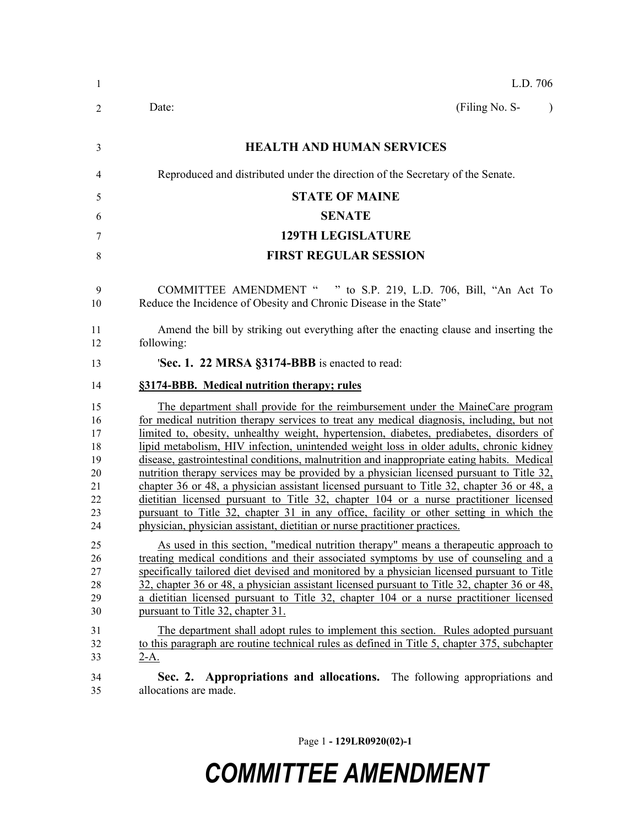| $\mathbf{1}$                                             | L.D. 706                                                                                                                                                                                                                                                                                                                                                                                                                                                                                                                                                                                                                                                                                                                                                                                                                                                                                                                     |
|----------------------------------------------------------|------------------------------------------------------------------------------------------------------------------------------------------------------------------------------------------------------------------------------------------------------------------------------------------------------------------------------------------------------------------------------------------------------------------------------------------------------------------------------------------------------------------------------------------------------------------------------------------------------------------------------------------------------------------------------------------------------------------------------------------------------------------------------------------------------------------------------------------------------------------------------------------------------------------------------|
| 2                                                        | (Filing No. S-<br>Date:<br>$\lambda$                                                                                                                                                                                                                                                                                                                                                                                                                                                                                                                                                                                                                                                                                                                                                                                                                                                                                         |
| 3                                                        | <b>HEALTH AND HUMAN SERVICES</b>                                                                                                                                                                                                                                                                                                                                                                                                                                                                                                                                                                                                                                                                                                                                                                                                                                                                                             |
| 4                                                        | Reproduced and distributed under the direction of the Secretary of the Senate.                                                                                                                                                                                                                                                                                                                                                                                                                                                                                                                                                                                                                                                                                                                                                                                                                                               |
| 5                                                        | <b>STATE OF MAINE</b>                                                                                                                                                                                                                                                                                                                                                                                                                                                                                                                                                                                                                                                                                                                                                                                                                                                                                                        |
| 6                                                        | <b>SENATE</b>                                                                                                                                                                                                                                                                                                                                                                                                                                                                                                                                                                                                                                                                                                                                                                                                                                                                                                                |
| 7                                                        | <b>129TH LEGISLATURE</b>                                                                                                                                                                                                                                                                                                                                                                                                                                                                                                                                                                                                                                                                                                                                                                                                                                                                                                     |
| 8                                                        | <b>FIRST REGULAR SESSION</b>                                                                                                                                                                                                                                                                                                                                                                                                                                                                                                                                                                                                                                                                                                                                                                                                                                                                                                 |
| 9<br>10                                                  | COMMITTEE AMENDMENT " " to S.P. 219, L.D. 706, Bill, "An Act To<br>Reduce the Incidence of Obesity and Chronic Disease in the State"                                                                                                                                                                                                                                                                                                                                                                                                                                                                                                                                                                                                                                                                                                                                                                                         |
| 11<br>12                                                 | Amend the bill by striking out everything after the enacting clause and inserting the<br>following:                                                                                                                                                                                                                                                                                                                                                                                                                                                                                                                                                                                                                                                                                                                                                                                                                          |
| 13                                                       | 'Sec. 1. 22 MRSA §3174-BBB is enacted to read:                                                                                                                                                                                                                                                                                                                                                                                                                                                                                                                                                                                                                                                                                                                                                                                                                                                                               |
| 14                                                       | §3174-BBB. Medical nutrition therapy; rules                                                                                                                                                                                                                                                                                                                                                                                                                                                                                                                                                                                                                                                                                                                                                                                                                                                                                  |
| 15<br>16<br>17<br>18<br>19<br>20<br>21<br>22<br>23<br>24 | The department shall provide for the reimbursement under the MaineCare program<br>for medical nutrition therapy services to treat any medical diagnosis, including, but not<br>limited to, obesity, unhealthy weight, hypertension, diabetes, prediabetes, disorders of<br>lipid metabolism, HIV infection, unintended weight loss in older adults, chronic kidney<br>disease, gastrointestinal conditions, malnutrition and inappropriate eating habits. Medical<br>nutrition therapy services may be provided by a physician licensed pursuant to Title 32,<br>chapter 36 or 48, a physician assistant licensed pursuant to Title 32, chapter 36 or 48, a<br>dictitian licensed pursuant to Title 32, chapter 104 or a nurse practitioner licensed<br>pursuant to Title 32, chapter 31 in any office, facility or other setting in which the<br>physician, physician assistant, dietitian or nurse practitioner practices. |
| 25<br>26<br>27<br>28<br>29<br>30<br>31<br>32<br>33       | As used in this section, "medical nutrition therapy" means a therapeutic approach to<br>treating medical conditions and their associated symptoms by use of counseling and a<br>specifically tailored diet devised and monitored by a physician licensed pursuant to Title<br>32, chapter 36 or 48, a physician assistant licensed pursuant to Title 32, chapter 36 or 48,<br>a dietitian licensed pursuant to Title 32, chapter 104 or a nurse practitioner licensed<br>pursuant to Title 32, chapter 31.<br>The department shall adopt rules to implement this section. Rules adopted pursuant<br>to this paragraph are routine technical rules as defined in Title 5, chapter 375, subchapter<br>$2-A.$                                                                                                                                                                                                                   |
| 34<br>35                                                 | Sec. 2. Appropriations and allocations. The following appropriations and<br>allocations are made.                                                                                                                                                                                                                                                                                                                                                                                                                                                                                                                                                                                                                                                                                                                                                                                                                            |

Page 1 **- 129LR0920(02)-1**

## *COMMITTEE AMENDMENT*